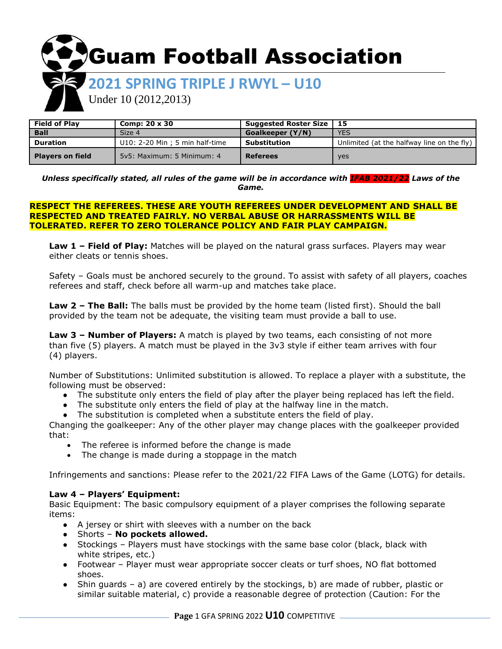**SGuam Football Association** 

# **2021 SPRING TRIPLE J RWYL – U10**

Under 10 (2012,2013)

| <b>Field of Plav</b>    | Comp: $20 \times 30$            | Suggested Roster Size   15 |                                            |
|-------------------------|---------------------------------|----------------------------|--------------------------------------------|
| <b>Ball</b>             | Size 4                          | Goalkeeper (Y/N)           | <b>YES</b>                                 |
| <b>Duration</b>         | U10: 2-20 Min ; 5 min half-time | Substitution               | Unlimited (at the halfway line on the fly) |
| <b>Players on field</b> | 5y5: Maximum: 5 Minimum: 4      | <b>Referees</b>            | <b>yes</b>                                 |

*Unless specifically stated, all rules of the game will be in accordance with IFAB 2021/22 Laws of the Game.*

#### **RESPECT THE REFEREES. THESE ARE YOUTH REFEREES UNDER DEVELOPMENT AND SHALL BE RESPECTED AND TREATED FAIRLY. NO VERBAL ABUSE OR HARRASSMENTS WILL BE TOLERATED. REFER TO ZERO TOLERANCE POLICY AND FAIR PLAY CAMPAIGN.**

**Law 1 – Field of Play:** Matches will be played on the natural grass surfaces. Players may wear either cleats or tennis shoes.

Safety – Goals must be anchored securely to the ground. To assist with safety of all players, coaches referees and staff, check before all warm-up and matches take place.

**Law 2 – The Ball:** The balls must be provided by the home team (listed first). Should the ball provided by the team not be adequate, the visiting team must provide a ball to use.

**Law 3 – Number of Players:** A match is played by two teams, each consisting of not more than five (5) players. A match must be played in the 3v3 style if either team arrives with four (4) players.

Number of Substitutions: Unlimited substitution is allowed. To replace a player with a substitute, the following must be observed:

- The substitute only enters the field of play after the player being replaced has left the field.
- The substitute only enters the field of play at the halfway line in the match.
- The substitution is completed when a substitute enters the field of play.

Changing the goalkeeper: Any of the other player may change places with the goalkeeper provided that:

- The referee is informed before the change is made
- The change is made during a stoppage in the match

Infringements and sanctions: Please refer to the 2021/22 FIFA Laws of the Game (LOTG) for details.

# **Law 4 – Players' Equipment:**

Basic Equipment: The basic compulsory equipment of a player comprises the following separate items:

- A jersey or shirt with sleeves with a number on the back
- Shorts **No pockets allowed.**
- Stockings Players must have stockings with the same base color (black, black with white stripes, etc.)
- Footwear Player must wear appropriate soccer cleats or turf shoes, NO flat bottomed shoes.
- Shin guards a) are covered entirely by the stockings, b) are made of rubber, plastic or similar suitable material, c) provide a reasonable degree of protection (Caution: For the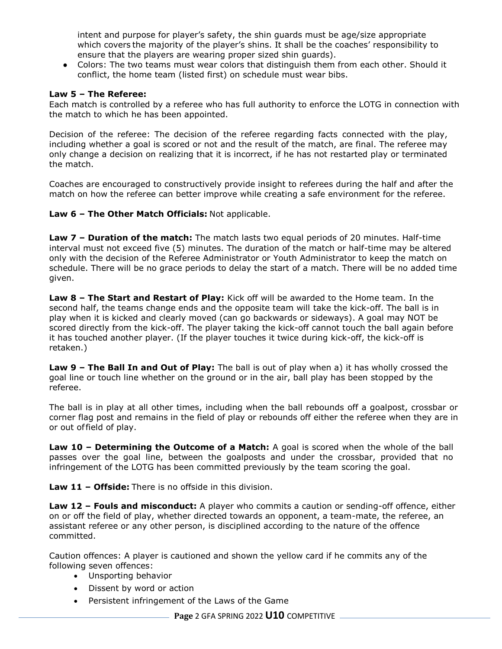intent and purpose for player's safety, the shin guards must be age/size appropriate which covers the majority of the player's shins. It shall be the coaches' responsibility to ensure that the players are wearing proper sized shin guards).

● Colors: The two teams must wear colors that distinguish them from each other. Should it conflict, the home team (listed first) on schedule must wear bibs.

### **Law 5 – The Referee:**

Each match is controlled by a referee who has full authority to enforce the LOTG in connection with the match to which he has been appointed.

Decision of the referee: The decision of the referee regarding facts connected with the play, including whether a goal is scored or not and the result of the match, are final. The referee may only change a decision on realizing that it is incorrect, if he has not restarted play or terminated the match.

Coaches are encouraged to constructively provide insight to referees during the half and after the match on how the referee can better improve while creating a safe environment for the referee.

**Law 6 – The Other Match Officials:** Not applicable.

**Law 7 – Duration of the match:** The match lasts two equal periods of 20 minutes. Half-time interval must not exceed five (5) minutes. The duration of the match or half-time may be altered only with the decision of the Referee Administrator or Youth Administrator to keep the match on schedule. There will be no grace periods to delay the start of a match. There will be no added time given.

**Law 8 – The Start and Restart of Play:** Kick off will be awarded to the Home team. In the second half, the teams change ends and the opposite team will take the kick-off. The ball is in play when it is kicked and clearly moved (can go backwards or sideways). A goal may NOT be scored directly from the kick-off. The player taking the kick-off cannot touch the ball again before it has touched another player. (If the player touches it twice during kick-off, the kick-off is retaken.)

**Law 9 – The Ball In and Out of Play:** The ball is out of play when a) it has wholly crossed the goal line or touch line whether on the ground or in the air, ball play has been stopped by the referee.

The ball is in play at all other times, including when the ball rebounds off a goalpost, crossbar or corner flag post and remains in the field of play or rebounds off either the referee when they are in or out offield of play.

**Law 10 – Determining the Outcome of a Match:** A goal is scored when the whole of the ball passes over the goal line, between the goalposts and under the crossbar, provided that no infringement of the LOTG has been committed previously by the team scoring the goal.

**Law 11 – Offside:** There is no offside in this division.

**Law 12 – Fouls and misconduct:** A player who commits a caution or sending-off offence, either on or off the field of play, whether directed towards an opponent, a team-mate, the referee, an assistant referee or any other person, is disciplined according to the nature of the offence committed.

Caution offences: A player is cautioned and shown the yellow card if he commits any of the following seven offences:

- Unsporting behavior
- Dissent by word or action
- Persistent infringement of the Laws of the Game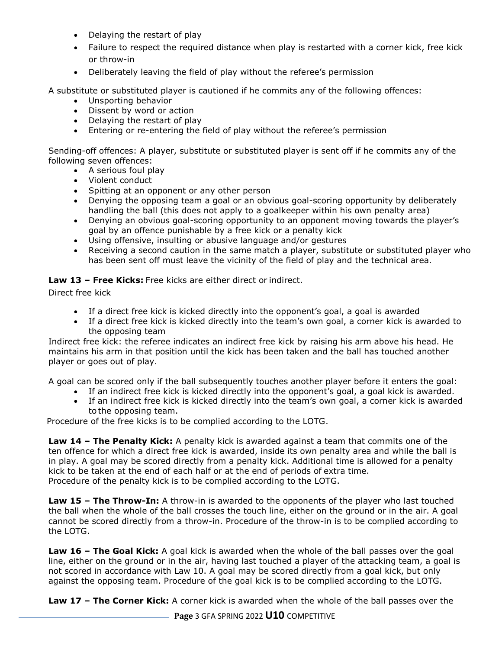- Delaying the restart of play
- Failure to respect the required distance when play is restarted with a corner kick, free kick or throw-in
- Deliberately leaving the field of play without the referee's permission

A substitute or substituted player is cautioned if he commits any of the following offences:

- Unsporting behavior
- Dissent by word or action
- Delaying the restart of play
- Entering or re-entering the field of play without the referee's permission

Sending-off offences: A player, substitute or substituted player is sent off if he commits any of the following seven offences:

- A serious foul play
- Violent conduct
- Spitting at an opponent or any other person
- Denying the opposing team a goal or an obvious goal-scoring opportunity by deliberately handling the ball (this does not apply to a goalkeeper within his own penalty area)
- Denying an obvious goal-scoring opportunity to an opponent moving towards the player's goal by an offence punishable by a free kick or a penalty kick
- Using offensive, insulting or abusive language and/or gestures
- Receiving a second caution in the same match a player, substitute or substituted player who has been sent off must leave the vicinity of the field of play and the technical area.

**Law 13 – Free Kicks:** Free kicks are either direct or indirect.

Direct free kick

- If a direct free kick is kicked directly into the opponent's goal, a goal is awarded
- If a direct free kick is kicked directly into the team's own goal, a corner kick is awarded to the opposing team

Indirect free kick: the referee indicates an indirect free kick by raising his arm above his head. He maintains his arm in that position until the kick has been taken and the ball has touched another player or goes out of play.

A goal can be scored only if the ball subsequently touches another player before it enters the goal:

- If an indirect free kick is kicked directly into the opponent's goal, a goal kick is awarded.
- If an indirect free kick is kicked directly into the team's own goal, a corner kick is awarded to the opposing team.

Procedure of the free kicks is to be complied according to the LOTG.

**Law 14 – The Penalty Kick:** A penalty kick is awarded against a team that commits one of the ten offence for which a direct free kick is awarded, inside its own penalty area and while the ball is in play. A goal may be scored directly from a penalty kick. Additional time is allowed for a penalty kick to be taken at the end of each half or at the end of periods of extra time. Procedure of the penalty kick is to be complied according to the LOTG.

**Law 15 – The Throw-In:** A throw-in is awarded to the opponents of the player who last touched the ball when the whole of the ball crosses the touch line, either on the ground or in the air. A goal cannot be scored directly from a throw-in. Procedure of the throw-in is to be complied according to the LOTG.

**Law 16 – The Goal Kick:** A goal kick is awarded when the whole of the ball passes over the goal line, either on the ground or in the air, having last touched a player of the attacking team, a goal is not scored in accordance with Law 10. A goal may be scored directly from a goal kick, but only against the opposing team. Procedure of the goal kick is to be complied according to the LOTG.

**Law 17 – The Corner Kick:** A corner kick is awarded when the whole of the ball passes over the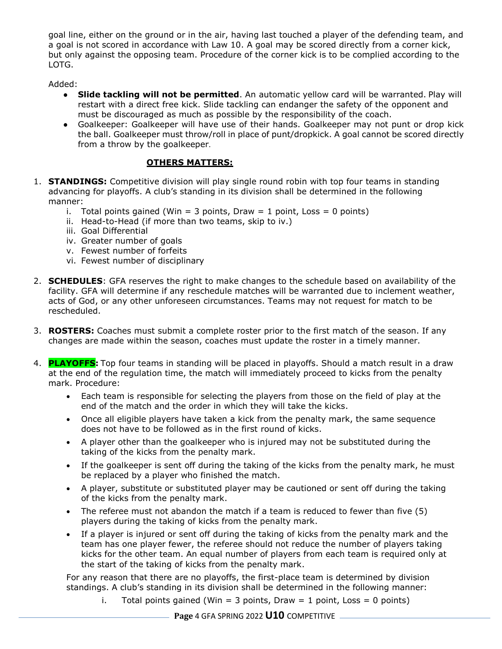goal line, either on the ground or in the air, having last touched a player of the defending team, and a goal is not scored in accordance with Law 10. A goal may be scored directly from a corner kick, but only against the opposing team. Procedure of the corner kick is to be complied according to the LOTG.

Added:

- **Slide tackling will not be permitted**. An automatic yellow card will be warranted. Play will restart with a direct free kick. Slide tackling can endanger the safety of the opponent and must be discouraged as much as possible by the responsibility of the coach.
- Goalkeeper: Goalkeeper will have use of their hands. Goalkeeper may not punt or drop kick the ball. Goalkeeper must throw/roll in place of punt/dropkick. A goal cannot be scored directly from a throw by the goalkeeper.

# **OTHERS MATTERS:**

- 1. **STANDINGS:** Competitive division will play single round robin with top four teams in standing advancing for playoffs. A club's standing in its division shall be determined in the following manner:
	- i. Total points gained (Win = 3 points, Draw = 1 point, Loss = 0 points)
	- ii. Head-to-Head (if more than two teams, skip to iv.)
	- iii. Goal Differential
	- iv. Greater number of goals
	- v. Fewest number of forfeits
	- vi. Fewest number of disciplinary
- 2. **SCHEDULES**: GFA reserves the right to make changes to the schedule based on availability of the facility. GFA will determine if any reschedule matches will be warranted due to inclement weather, acts of God, or any other unforeseen circumstances. Teams may not request for match to be rescheduled.
- 3. **ROSTERS:** Coaches must submit a complete roster prior to the first match of the season. If any changes are made within the season, coaches must update the roster in a timely manner.
- 4. **PLAYOFFS:** Top four teams in standing will be placed in playoffs. Should a match result in a draw at the end of the regulation time, the match will immediately proceed to kicks from the penalty mark. Procedure:
	- Each team is responsible for selecting the players from those on the field of play at the end of the match and the order in which they will take the kicks.
	- Once all eligible players have taken a kick from the penalty mark, the same sequence does not have to be followed as in the first round of kicks.
	- A player other than the goalkeeper who is injured may not be substituted during the taking of the kicks from the penalty mark.
	- If the goalkeeper is sent off during the taking of the kicks from the penalty mark, he must be replaced by a player who finished the match.
	- A player, substitute or substituted player may be cautioned or sent off during the taking of the kicks from the penalty mark.
	- The referee must not abandon the match if a team is reduced to fewer than five (5) players during the taking of kicks from the penalty mark.
	- If a player is injured or sent off during the taking of kicks from the penalty mark and the team has one player fewer, the referee should not reduce the number of players taking kicks for the other team. An equal number of players from each team is required only at the start of the taking of kicks from the penalty mark.

For any reason that there are no playoffs, the first-place team is determined by division standings. A club's standing in its division shall be determined in the following manner:

i. Total points gained (Win = 3 points, Draw = 1 point, Loss = 0 points)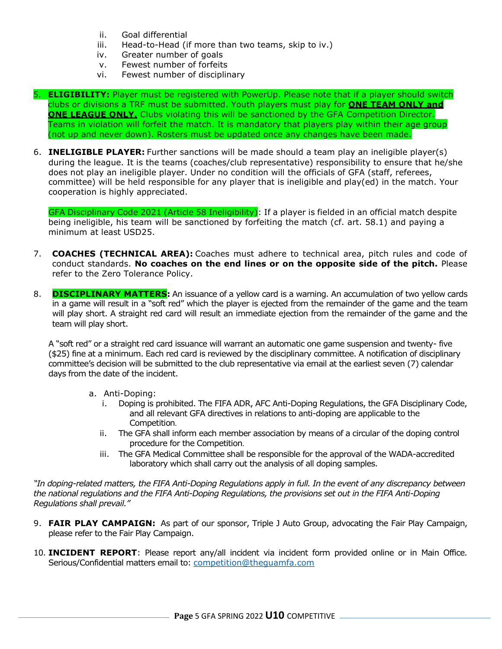- ii. Goal differential
- iii. Head-to-Head (if more than two teams, skip to iv.)
- iv. Greater number of goals
- v. Fewest number of forfeits
- vi. Fewest number of disciplinary

5. **ELIGIBILITY:** Player must be registered with PowerUp. Please note that if a player should switch clubs or divisions a TRF must be submitted. Youth players must play for **ONE TEAM ONLY and ONE LEAGUE ONLY.** Clubs violating this will be sanctioned by the GFA Competition Director. Teams in violation will forfeit the match. It is mandatory that players play within their age group (not up and never down). Rosters must be updated once any changes have been made.

6. **INELIGIBLE PLAYER:** Further sanctions will be made should a team play an ineligible player(s) during the league. It is the teams (coaches/club representative) responsibility to ensure that he/she does not play an ineligible player. Under no condition will the officials of GFA (staff, referees, committee) will be held responsible for any player that is ineligible and play(ed) in the match. Your cooperation is highly appreciated.

GFA Disciplinary Code 2021 (Article 58 Ineligibility): If a player is fielded in an official match despite being ineligible, his team will be sanctioned by forfeiting the match (cf. art. 58.1) and paying a minimum at least USD25.

- 7. **COACHES (TECHNICAL AREA):** Coaches must adhere to technical area, pitch rules and code of conduct standards. **No coaches on the end lines or on the opposite side of the pitch.** Please refer to the Zero Tolerance Policy.
- 8. **DISCIPLINARY MATTERS:** An issuance of a yellow card is a warning. An accumulation of two yellow cards in a game will result in a "soft red" which the player is ejected from the remainder of the game and the team will play short. A straight red card will result an immediate ejection from the remainder of the game and the team will play short.

A "soft red" or a straight red card issuance will warrant an automatic one game suspension and twenty- five (\$25) fine at a minimum. Each red card is reviewed by the disciplinary committee. A notification of disciplinary committee's decision will be submitted to the club representative via email at the earliest seven (7) calendar days from the date of the incident.

#### a. Anti-Doping:

- i. Doping is prohibited. The FIFA ADR, AFC Anti-Doping Regulations, the GFA Disciplinary Code, and all relevant GFA directives in relations to anti-doping are applicable to the Competition.
- ii. The GFA shall inform each member association by means of a circular of the doping control procedure for the Competition.
- iii. The GFA Medical Committee shall be responsible for the approval of the WADA-accredited laboratory which shall carry out the analysis of all doping samples.

*"In doping-related matters, the FIFA Anti-Doping Regulations apply in full. In the event of any discrepancy between the national regulations and the FIFA Anti-Doping Regulations, the provisions set out in the FIFA Anti-Doping Regulations shall prevail."*

- 9. **FAIR PLAY CAMPAIGN:** As part of our sponsor, Triple J Auto Group, advocating the Fair Play Campaign, please refer to the Fair Play Campaign.
- 10. **INCIDENT REPORT**: Please report any/all incident via incident form provided online or in Main Office. Serious/Confidential matters email to: [competition@theguamfa.com](mailto:competition@theguamfa.com)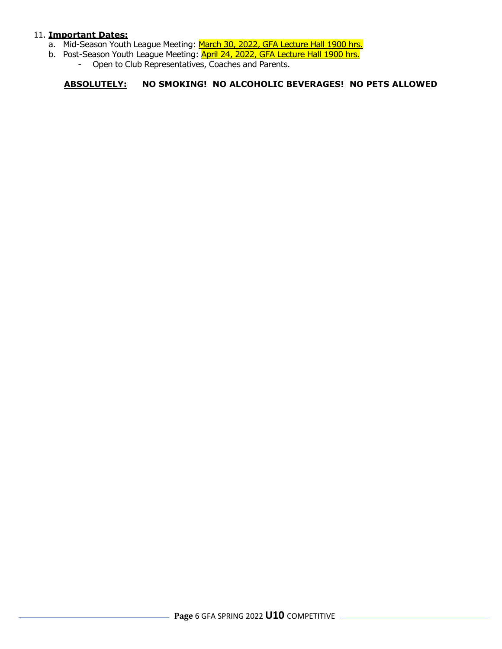#### 11. **Important Dates:**

- a. Mid-Season Youth League Meeting: March 30, 2022, GFA Lecture Hall 1900 hrs.
- b. Post-Season Youth League Meeting: **April 24, 2022, GFA Lecture Hall 1900 hrs.** 
	- Open to Club Representatives, Coaches and Parents.

# **ABSOLUTELY: NO SMOKING! NO ALCOHOLIC BEVERAGES! NO PETS ALLOWED**